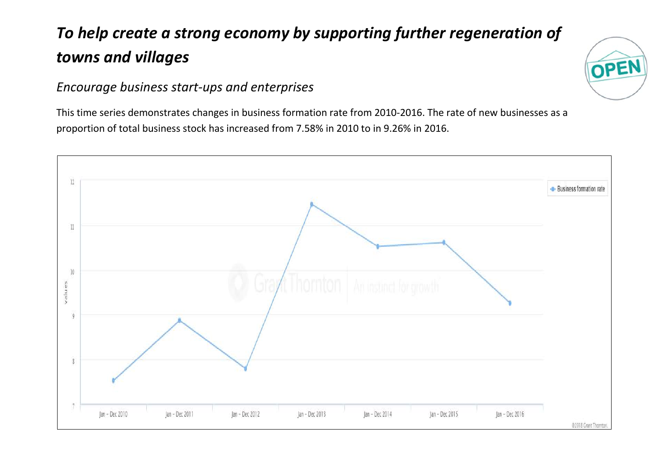## *To help create a strong economy by supporting further regeneration of towns and villages*

## *Encourage business start-ups and enterprises*

This time series demonstrates changes in business formation rate from 2010-2016. The rate of new businesses as a proportion of total business stock has increased from 7.58% in 2010 to in 9.26% in 2016.



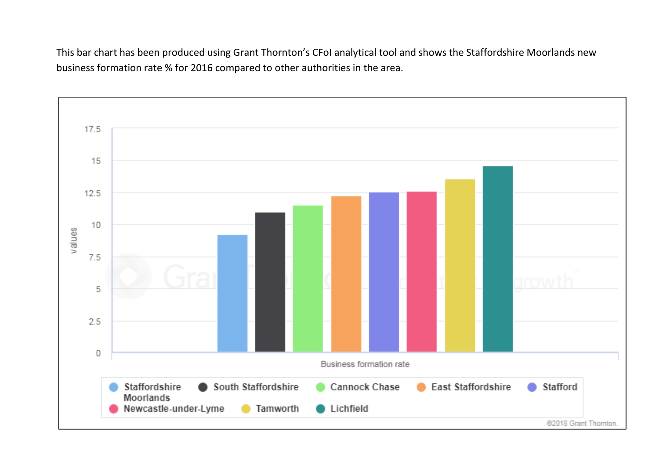This bar chart has been produced using Grant Thornton's CFoI analytical tool and shows the Staffordshire Moorlands new business formation rate % for 2016 compared to other authorities in the area.

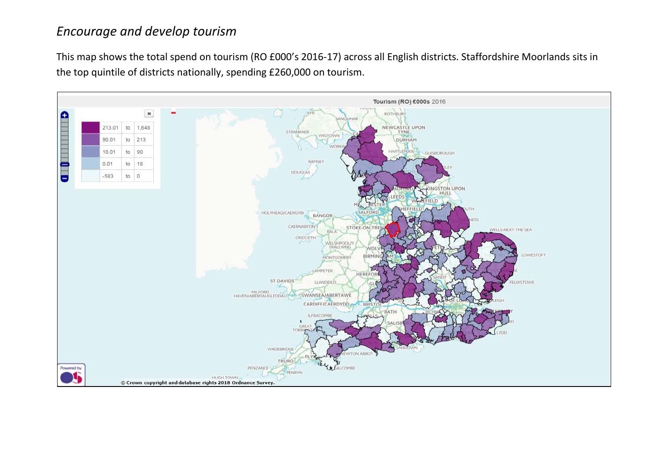## *Encourage and develop tourism*

This map shows the total spend on tourism (RO £000's 2016-17) across all English districts. Staffordshire Moorlands sits in the top quintile of districts nationally, spending £260,000 on tourism.

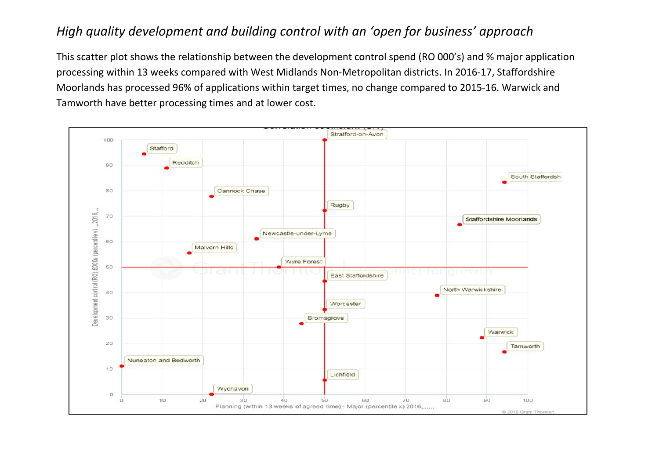## *High quality development and building control with an 'open for business' approach*

This scatter plot shows the relationship between the development control spend (RO 000's) and % major application processing within 13 weeks compared with West Midlands Non-Metropolitan districts. In 2016-17, Staffordshire Moorlands has processed 96% of applications within target times, no change compared to 2015-16. Warwick and Tamworth have better processing times and at lower cost.

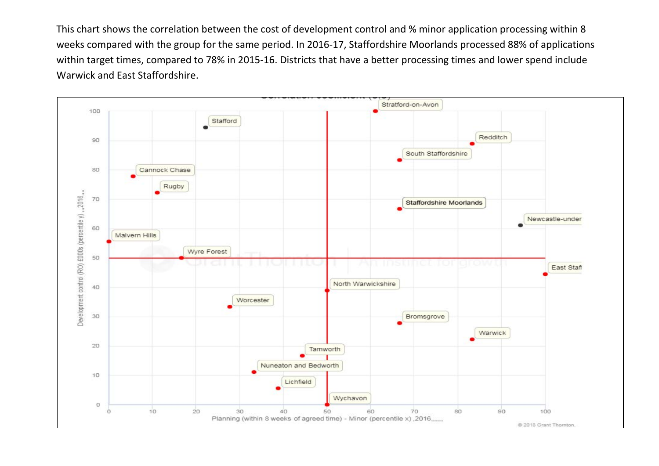This chart shows the correlation between the cost of development control and % minor application processing within 8 weeks compared with the group for the same period. In 2016-17, Staffordshire Moorlands processed 88% of applications within target times, compared to 78% in 2015-16. Districts that have a better processing times and lower spend include Warwick and East Staffordshire.

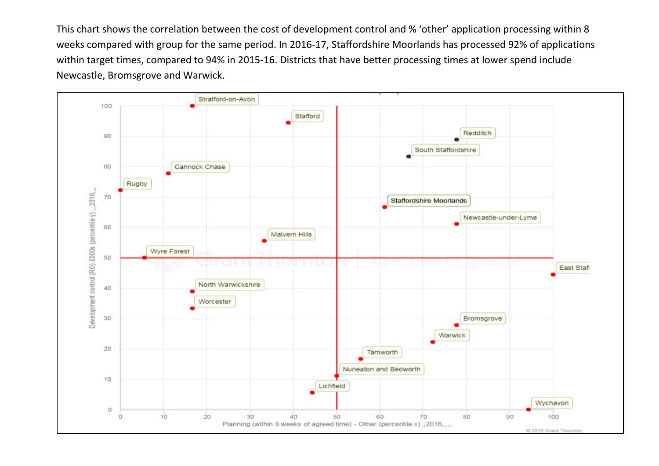This chart shows the correlation between the cost of development control and % 'other' application processing within 8 weeks compared with group for the same period. In 2016-17, Staffordshire Moorlands has processed 92% of applications within target times, compared to 94% in 2015-16. Districts that have better processing times at lower spend include Newcastle, Bromsgrove and Warwick.